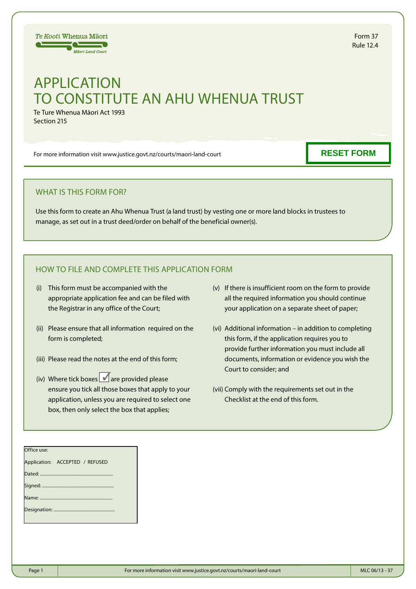# APPLICATION TO CONSTITUTE AN AHU WHENUA TRUST

Te Ture Whenua Māori Act 1993 Section 215

Te Kooti Whenua Māori  $\equiv$   $\equiv$ **Mäori Land Court** 

For more information visit www.justice.govt.nz/courts/maori-land-court

#### WHAT IS THIS FORM FOR?

Use this form to create an Ahu Whenua Trust (a land trust) by vesting one or more land blocks in trustees to manage, as set out in a trust deed/order on behalf of the beneficial owner(s).

## HOW TO FILE AND COMPLETE THIS APPLICATION FORM

- (i) This form must be accompanied with the appropriate application fee and can be filed with the Registrar in any office of the Court;
- (ii) Please ensure that all information required on the form is completed;
- (iii) Please read the notes at the end of this form;
- (iv) Where tick boxes  $\blacksquare$  are provided please ensure you tick all those boxes that apply to your application, unless you are required to select one box, then only select the box that applies;
- (v) If there is insufficient room on the form to provide all the required information you should continue your application on a separate sheet of paper;
- (vi) Additional information in addition to completing this form, if the application requires you to provide further information you must include all documents, information or evidence you wish the Court to consider; and
- (vii) Comply with the requirements set out in the Checklist at the end of this form.

| .                |
|------------------|
| <b>Rule 12.4</b> |
|                  |

**RESET FORM**

Form 37

# Office use: Application: ACCEPTED / REFUSED Dated: .............................................................. Signed: ....... Name: ........ Designation: .....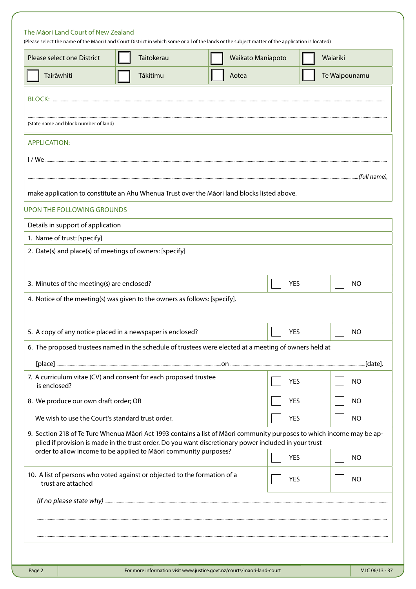### The Māori Land Court of New Zealand

(Please select the name of the Māori Land Court District in which some or all of the lands or the subject matter of the application is located)

| Please select one District                                 | Taitokerau                                                                                                             |       | Waikato Maniapoto | Waiariki      |
|------------------------------------------------------------|------------------------------------------------------------------------------------------------------------------------|-------|-------------------|---------------|
| Tairāwhiti                                                 | Tākitimu                                                                                                               | Aotea |                   | Te Waipounamu |
|                                                            |                                                                                                                        |       |                   |               |
|                                                            |                                                                                                                        |       |                   |               |
| (State name and block number of land)                      |                                                                                                                        |       |                   |               |
| <b>APPLICATION:</b>                                        |                                                                                                                        |       |                   |               |
|                                                            |                                                                                                                        |       |                   |               |
|                                                            |                                                                                                                        |       |                   |               |
|                                                            | make application to constitute an Ahu Whenua Trust over the Māori land blocks listed above.                            |       |                   |               |
| <b>UPON THE FOLLOWING GROUNDS</b>                          |                                                                                                                        |       |                   |               |
| Details in support of application                          |                                                                                                                        |       |                   |               |
| 1. Name of trust: [specify]                                |                                                                                                                        |       |                   |               |
| 2. Date(s) and place(s) of meetings of owners: [specify]   |                                                                                                                        |       |                   |               |
|                                                            |                                                                                                                        |       |                   |               |
| 3. Minutes of the meeting(s) are enclosed?                 |                                                                                                                        |       | <b>YES</b>        | <b>NO</b>     |
|                                                            | 4. Notice of the meeting(s) was given to the owners as follows: [specify].                                             |       |                   |               |
|                                                            |                                                                                                                        |       |                   |               |
| 5. A copy of any notice placed in a newspaper is enclosed? |                                                                                                                        |       | <b>YES</b>        | <b>NO</b>     |
|                                                            | 6. The proposed trustees named in the schedule of trustees were elected at a meeting of owners held at                 |       |                   |               |
|                                                            |                                                                                                                        |       |                   |               |
| is enclosed?                                               | 7. A curriculum vitae (CV) and consent for each proposed trustee                                                       |       | <b>YES</b>        | <b>NO</b>     |
| 8. We produce our own draft order; OR                      |                                                                                                                        |       | <b>YES</b>        | <b>NO</b>     |
| We wish to use the Court's standard trust order.           |                                                                                                                        |       | <b>YES</b>        | <b>NO</b>     |
|                                                            | 9. Section 218 of Te Ture Whenua Māori Act 1993 contains a list of Māori community purposes to which income may be ap- |       |                   |               |
|                                                            | plied if provision is made in the trust order. Do you want discretionary power included in your trust                  |       |                   |               |
|                                                            | order to allow income to be applied to Māori community purposes?                                                       |       | <b>YES</b>        | <b>NO</b>     |
| trust are attached                                         | 10. A list of persons who voted against or objected to the formation of a                                              |       | <b>YES</b>        | <b>NO</b>     |
|                                                            |                                                                                                                        |       |                   |               |
|                                                            |                                                                                                                        |       |                   |               |
|                                                            |                                                                                                                        |       |                   |               |
|                                                            |                                                                                                                        |       |                   |               |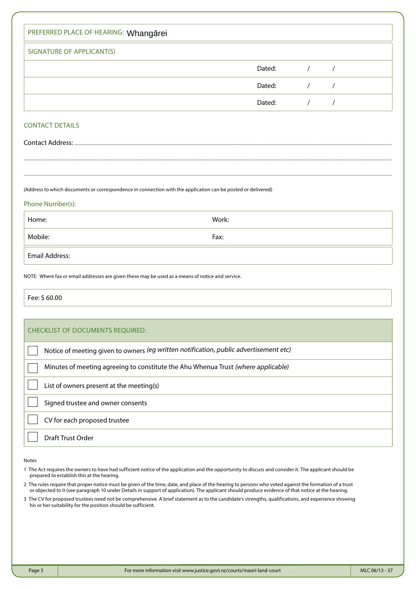| PREFERRED PLACE OF HEARING: Whangarei |        |  |
|---------------------------------------|--------|--|
| SIGNATURE OF APPLICANT(S)             |        |  |
|                                       | Dated: |  |
|                                       | Dated: |  |
|                                       | Dated: |  |

#### CONTACT DETAILS

Contact Address: ...

(Address to which documents or correspondence in connection with the application can be posted or delivered)

#### Phone Number(s):

| Home:          | Work: |
|----------------|-------|
| Mobile:        | Fax:  |
| Email Address: |       |

.............................................................................................................................................................................................................................................................................................................................................

.............................................................................................................................................................................................................................................................................................................................................

NOTE: Where fax or email addresses are given these may be used as a means of notice and service.

Fee: \$ 60.00

| <b>CHECKLIST OF DOCUMENTS REQUIRED:</b>                                               |
|---------------------------------------------------------------------------------------|
| Notice of meeting given to owners (eg written notification, public advertisement etc) |
| Minutes of meeting agreeing to constitute the Ahu Whenua Trust (where applicable)     |
| List of owners present at the meeting(s)                                              |
| Signed trustee and owner consents                                                     |
| CV for each proposed trustee                                                          |
| Draft Trust Order                                                                     |

Notes

- 1 The Act requires the owners to have had sufficient notice of the application and the opportunity to discuss and consider it. The applicant should be prepared to establish this at the hearing.
- 2 The rules require that proper notice must be given of the time, date, and place of the hearing to persons who voted against the formation of a trust or objected to it (see paragraph 10 under Details in support of application). The applicant should produce evidence of that notice at the hearing.
- 3 The CV for proposed trustees need not be comprehensive. A brief statement as to the candidate's strengths, qualifications, and experience showing his or her suitability for the position should be sufficient.